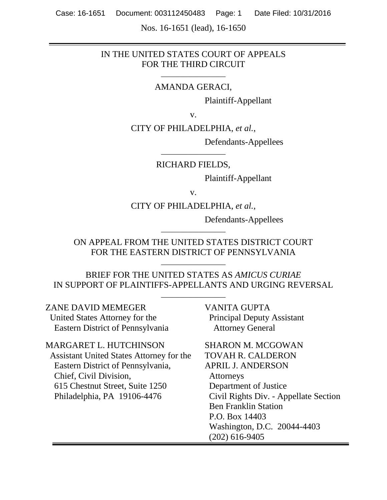Nos. 16-1651 (lead), 16-1650

# IN THE UNITED STATES COURT OF APPEALS FOR THE THIRD CIRCUIT

### AMANDA GERACI,

\_\_\_\_\_\_\_\_\_\_\_\_\_\_\_\_\_

Plaintiff-Appellant

v.

CITY OF PHILADELPHIA, *et al.*,

Defendants-Appellees

RICHARD FIELDS,

\_\_\_\_\_\_\_\_\_\_\_\_\_\_\_\_\_

Plaintiff-Appellant

v.

CITY OF PHILADELPHIA, *et al.*,

Defendants-Appellees

ON APPEAL FROM THE UNITED STATES DISTRICT COURT FOR THE EASTERN DISTRICT OF PENNSYLVANIA

\_\_\_\_\_\_\_\_\_\_\_\_\_\_\_\_\_

\_\_\_\_\_\_\_\_\_\_\_\_\_\_\_\_\_

BRIEF FOR THE UNITED STATES AS *AMICUS CURIAE* IN SUPPORT OF PLAINTIFFS-APPELLANTS AND URGING REVERSAL

\_\_\_\_\_\_\_\_\_\_\_\_\_\_\_\_\_

| <b>ZANE DAVID MEMEGER</b>                                                                                                                                                                           | <b>VANITA GUPTA</b>                                                                                                                                                                                                                                                 |
|-----------------------------------------------------------------------------------------------------------------------------------------------------------------------------------------------------|---------------------------------------------------------------------------------------------------------------------------------------------------------------------------------------------------------------------------------------------------------------------|
| United States Attorney for the                                                                                                                                                                      | <b>Principal Deputy Assistant</b>                                                                                                                                                                                                                                   |
| Eastern District of Pennsylvania                                                                                                                                                                    | <b>Attorney General</b>                                                                                                                                                                                                                                             |
| MARGARET L. HUTCHINSON<br>Assistant United States Attorney for the<br>Eastern District of Pennsylvania,<br>Chief, Civil Division,<br>615 Chestnut Street, Suite 1250<br>Philadelphia, PA 19106-4476 | <b>SHARON M. MCGOWAN</b><br><b>TOVAH R. CALDERON</b><br><b>APRIL J. ANDERSON</b><br>Attorneys<br>Department of Justice<br>Civil Rights Div. - Appellate Section<br><b>Ben Franklin Station</b><br>P.O. Box 14403<br>Washington, D.C. 20044-4403<br>$(202)$ 616-9405 |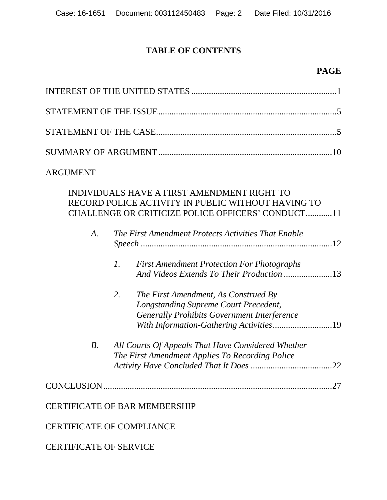# **TABLE OF CONTENTS**

## **PAGE**

| <b>ARGUMENT</b> |                 |                                                                                                                                                                                |
|-----------------|-----------------|--------------------------------------------------------------------------------------------------------------------------------------------------------------------------------|
|                 |                 | INDIVIDUALS HAVE A FIRST AMENDMENT RIGHT TO<br>RECORD POLICE ACTIVITY IN PUBLIC WITHOUT HAVING TO<br>CHALLENGE OR CRITICIZE POLICE OFFICERS' CONDUCT11                         |
| A.              |                 | The First Amendment Protects Activities That Enable                                                                                                                            |
|                 | $\mathcal{I}$ . | <b>First Amendment Protection For Photographs</b><br>And Videos Extends To Their Production 13                                                                                 |
|                 | 2.              | The First Amendment, As Construed By<br>Longstanding Supreme Court Precedent,<br><b>Generally Prohibits Government Interference</b><br>With Information-Gathering Activities19 |
| B <sub>1</sub>  |                 | All Courts Of Appeals That Have Considered Whether<br>The First Amendment Applies To Recording Police                                                                          |
| CONCLUSION.     |                 |                                                                                                                                                                                |

# CERTIFICATE OF BAR MEMBERSHIP

CERTIFICATE OF COMPLIANCE

CERTIFICATE OF SERVICE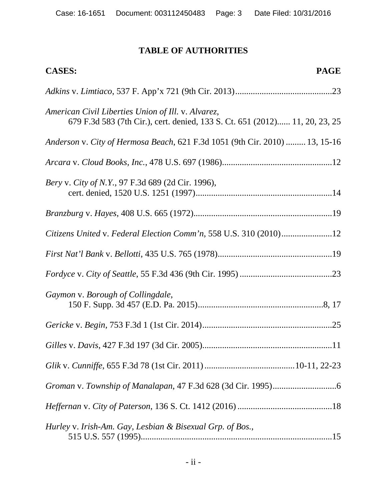# **TABLE OF AUTHORITIES**

| <b>CASES:</b><br><b>PAGE</b>                                                                                                      |
|-----------------------------------------------------------------------------------------------------------------------------------|
|                                                                                                                                   |
| American Civil Liberties Union of Ill. v. Alvarez,<br>679 F.3d 583 (7th Cir.), cert. denied, 133 S. Ct. 651 (2012) 11, 20, 23, 25 |
| Anderson v. City of Hermosa Beach, 621 F.3d 1051 (9th Cir. 2010)  13, 15-16                                                       |
|                                                                                                                                   |
| Bery v. City of N.Y., 97 F.3d 689 (2d Cir. 1996),                                                                                 |
|                                                                                                                                   |
| Citizens United v. Federal Election Comm'n, 558 U.S. 310 (2010)12                                                                 |
|                                                                                                                                   |
|                                                                                                                                   |
| Gaymon v. Borough of Collingdale,                                                                                                 |
|                                                                                                                                   |
|                                                                                                                                   |
|                                                                                                                                   |
|                                                                                                                                   |
|                                                                                                                                   |
| Hurley v. Irish-Am. Gay, Lesbian & Bisexual Grp. of Bos.,                                                                         |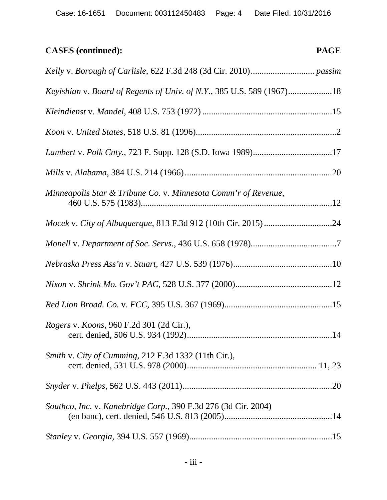# **CASES (continued): PAGE**

| Keyishian v. Board of Regents of Univ. of N.Y., 385 U.S. 589 (1967)18 |
|-----------------------------------------------------------------------|
|                                                                       |
|                                                                       |
|                                                                       |
|                                                                       |
| Minneapolis Star & Tribune Co. v. Minnesota Comm'r of Revenue,        |
|                                                                       |
|                                                                       |
|                                                                       |
|                                                                       |
|                                                                       |
| <i>Rogers v. Koons, 960 F.2d 301 (2d Cir.),</i>                       |
| Smith v. City of Cumming, 212 F.3d 1332 (11th Cir.),                  |
|                                                                       |
| Southco, Inc. v. Kanebridge Corp., 390 F.3d 276 (3d Cir. 2004)        |
|                                                                       |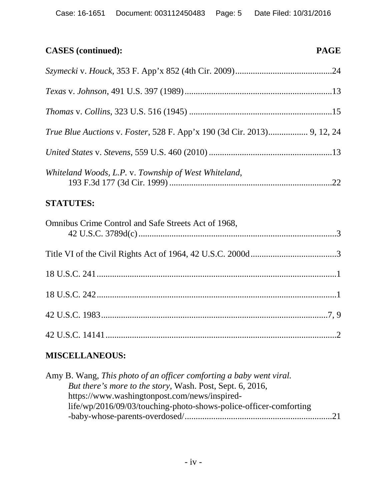# **CASES (continued): PAGE**

| <i>True Blue Auctions v. Foster, 528 F. App'x 190 (3d Cir. 2013)</i> 9, 12, 24 |  |
|--------------------------------------------------------------------------------|--|
|                                                                                |  |
| Whiteland Woods, L.P. v. Township of West Whiteland,                           |  |
| <b>STATUTES:</b>                                                               |  |
| Omnibus Crime Control and Safe Streets Act of 1968,                            |  |
|                                                                                |  |

# **MISCELLANEOUS:**

| Amy B. Wang, This photo of an officer comforting a baby went viral. |  |
|---------------------------------------------------------------------|--|
| But there's more to the story, Wash. Post, Sept. 6, 2016,           |  |
| https://www.washingtonpost.com/news/inspired-                       |  |
| life/wp/2016/09/03/touching-photo-shows-police-officer-comforting   |  |
|                                                                     |  |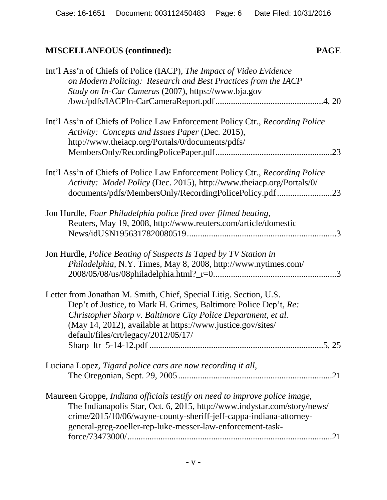# **MISCELLANEOUS (continued): PAGE**

| Int'l Ass'n of Chiefs of Police (IACP), The Impact of Video Evidence<br>on Modern Policing: Research and Best Practices from the IACP<br>Study on In-Car Cameras (2007), https://www.bja.gov                                                                                                                   |
|----------------------------------------------------------------------------------------------------------------------------------------------------------------------------------------------------------------------------------------------------------------------------------------------------------------|
| Int'l Ass'n of Chiefs of Police Law Enforcement Policy Ctr., Recording Police<br>Activity: Concepts and Issues Paper (Dec. 2015),<br>http://www.theiacp.org/Portals/0/documents/pdfs/                                                                                                                          |
| Int'l Ass'n of Chiefs of Police Law Enforcement Policy Ctr., Recording Police<br>Activity: Model Policy (Dec. 2015), http://www.theiacp.org/Portals/0/<br>documents/pdfs/MembersOnly/RecordingPolicePolicy.pdf 23                                                                                              |
| Jon Hurdle, Four Philadelphia police fired over filmed beating,<br>Reuters, May 19, 2008, http://www.reuters.com/article/domestic                                                                                                                                                                              |
| Jon Hurdle, Police Beating of Suspects Is Taped by TV Station in<br><i>Philadelphia</i> , N.Y. Times, May 8, 2008, http://www.nytimes.com/                                                                                                                                                                     |
| Letter from Jonathan M. Smith, Chief, Special Litig. Section, U.S.<br>Dep't of Justice, to Mark H. Grimes, Baltimore Police Dep't, Re:<br>Christopher Sharp v. Baltimore City Police Department, et al.<br>(May 14, 2012), available at https://www.justice.gov/sites/<br>default/files/crt/legacy/2012/05/17/ |
| Luciana Lopez, Tigard police cars are now recording it all,                                                                                                                                                                                                                                                    |
| Maureen Groppe, Indiana officials testify on need to improve police image,<br>The Indianapolis Star, Oct. 6, 2015, http://www.indystar.com/story/news/<br>crime/2015/10/06/wayne-county-sheriff-jeff-cappa-indiana-attorney-<br>general-greg-zoeller-rep-luke-messer-law-enforcement-task-<br>.21              |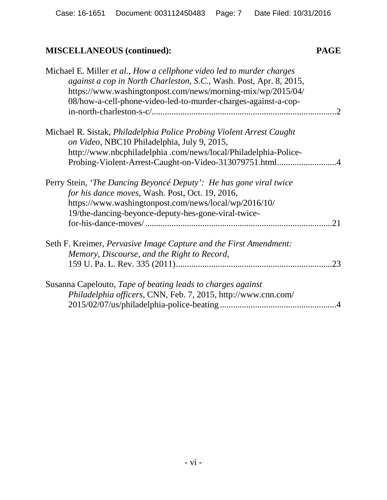# **MISCELLANEOUS (continued): PAGE**

| Michael E. Miller et al., How a cellphone video led to murder charges<br>against a cop in North Charleston, S.C., Wash. Post, Apr. 8, 2015,<br>https://www.washingtonpost.com/news/morning-mix/wp/2015/04/<br>08/how-a-cell-phone-video-led-to-murder-charges-against-a-cop- |        |
|------------------------------------------------------------------------------------------------------------------------------------------------------------------------------------------------------------------------------------------------------------------------------|--------|
| Michael R. Sistak, Philadelphia Police Probing Violent Arrest Caught<br>on Video, NBC10 Philadelphia, July 9, 2015,<br>http://www.nbcphiladelphia.com/news/local/Philadelphia-Police-                                                                                        |        |
| Perry Stein, 'The Dancing Beyoncé Deputy': He has gone viral twice<br>for his dance moves, Wash. Post, Oct. 19, 2016,<br>https://www.washingtonpost.com/news/local/wp/2016/10/<br>19/the-dancing-beyonce-deputy-hes-gone-viral-twice-                                        | 21     |
| Seth F. Kreimer, Pervasive Image Capture and the First Amendment:<br>Memory, Discourse, and the Right to Record,                                                                                                                                                             | .23    |
| Susanna Capelouto, Tape of beating leads to charges against<br>Philadelphia officers, CNN, Feb. 7, 2015, http://www.cnn.com/                                                                                                                                                 | $.4\,$ |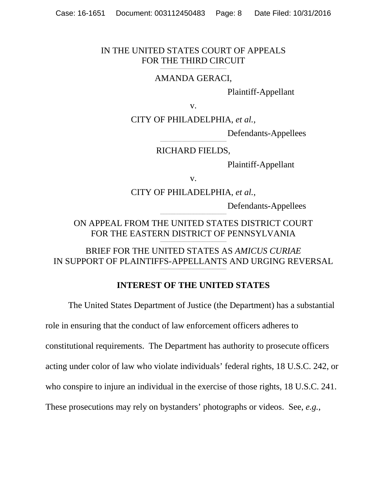## IN THE UNITED STATES COURT OF APPEALS FOR THE THIRD CIRCUIT

#### \_\_\_\_\_\_\_\_\_\_\_\_\_\_\_\_\_\_\_\_\_\_\_\_\_\_\_\_\_\_\_\_\_\_\_\_\_\_\_\_\_\_ AMANDA GERACI,

Plaintiff-Appellant

v.

CITY OF PHILADELPHIA, *et al.*,

Defendants-Appellees

#### \_\_\_\_\_\_\_\_\_\_\_\_\_\_\_\_\_\_\_\_\_\_\_\_\_\_\_\_\_\_\_\_\_\_\_\_\_\_\_\_\_\_ RICHARD FIELDS,

Plaintiff-Appellant

v.

### CITY OF PHILADELPHIA, *et al.*,

Defendants-Appellees

ON APPEAL FROM THE UNITED STATES DISTRICT COURT FOR THE EASTERN DISTRICT OF PENNSYLVANIA \_\_\_\_\_\_\_\_\_\_\_\_\_\_\_\_\_\_\_\_\_\_\_\_\_\_\_\_\_\_\_\_\_\_\_\_\_\_\_\_\_\_

\_\_\_\_\_\_\_\_\_\_\_\_\_\_\_\_\_\_\_\_\_\_\_\_\_\_\_\_\_\_\_\_\_\_\_\_\_\_\_\_\_\_

BRIEF FOR THE UNITED STATES AS *AMICUS CURIAE* IN SUPPORT OF PLAINTIFFS-APPELLANTS AND URGING REVERSAL \_\_\_\_\_\_\_\_\_\_\_\_\_\_\_\_\_\_\_\_\_\_\_\_\_\_\_\_\_\_\_\_\_\_\_\_\_\_\_\_\_\_

# **INTEREST OF THE UNITED STATES**

The United States Department of Justice (the Department) has a substantial

role in ensuring that the conduct of law enforcement officers adheres to

constitutional requirements. The Department has authority to prosecute officers

acting under color of law who violate individuals' federal rights, 18 U.S.C. 242, or

who conspire to injure an individual in the exercise of those rights, 18 U.S.C. 241.

These prosecutions may rely on bystanders' photographs or videos. See, *e.g.*,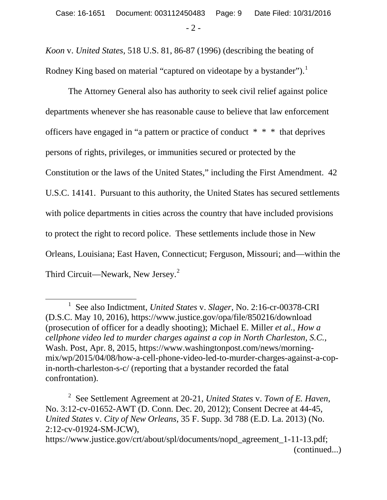*Koon* v. *United States*, 518 U.S. 81, 86-87 (1996) (describing the beating of Rodney King based on material "captured on videotape by a bystander").<sup>1</sup>

The Attorney General also has authority to seek civil relief against police departments whenever she has reasonable cause to believe that law enforcement officers have engaged in "a pattern or practice of conduct \* \* \* that deprives persons of rights, privileges, or immunities secured or protected by the Constitution or the laws of the United States," including the First Amendment. 42 U.S.C. 14141. Pursuant to this authority, the United States has secured settlements with police departments in cities across the country that have included provisions to protect the right to record police. These settlements include those in New Orleans, Louisiana; East Haven, Connecticut; Ferguson, Missouri; and—within the Third Circuit—Newark, New Jersey.<sup>2</sup>

 $\overline{a}$ 

<sup>1</sup> See also Indictment, *United States* v. *Slager*, No. 2:16-cr-00378-CRI (D.S.C. May 10, 2016), https://www.justice.gov/opa/file/850216/download (prosecution of officer for a deadly shooting); Michael E. Miller *et al.*, *How a cellphone video led to murder charges against a cop in North Charleston, S.C.*, Wash. Post, Apr. 8, 2015, https://www.washingtonpost.com/news/morningmix/wp/2015/04/08/how-a-cell-phone-video-led-to-murder-charges-against-a-copin-north-charleston-s-c/ (reporting that a bystander recorded the fatal confrontation).

<sup>2</sup> See Settlement Agreement at 20-21, *United States* v. *Town of E. Haven*, No. 3:12-cv-01652-AWT (D. Conn. Dec. 20, 2012); Consent Decree at 44-45, *United States* v. *City of New Orleans*, 35 F. Supp. 3d 788 (E.D. La. 2013) (No. 2:12-cv-01924-SM-JCW),

https://www.justice.gov/crt/about/spl/documents/nopd\_agreement\_1-11-13.pdf; (continued...)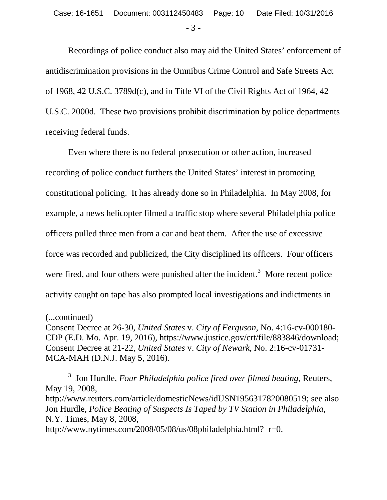Recordings of police conduct also may aid the United States' enforcement of antidiscrimination provisions in the Omnibus Crime Control and Safe Streets Act of 1968, 42 U.S.C. 3789d(c), and in Title VI of the Civil Rights Act of 1964, 42 U.S.C. 2000d. These two provisions prohibit discrimination by police departments receiving federal funds.

Even where there is no federal prosecution or other action, increased recording of police conduct furthers the United States' interest in promoting constitutional policing. It has already done so in Philadelphia. In May 2008, for example, a news helicopter filmed a traffic stop where several Philadelphia police officers pulled three men from a car and beat them. After the use of excessive force was recorded and publicized, the City disciplined its officers. Four officers were fired, and four others were punished after the incident.<sup>3</sup> More recent police activity caught on tape has also prompted local investigations and indictments in

 $\overline{a}$ 

3 Jon Hurdle, *Four Philadelphia police fired over filmed beating*, Reuters, May 19, 2008, http://www.reuters.com/article/domesticNews/idUSN1956317820080519; see also Jon Hurdle, *Police Beating of Suspects Is Taped by TV Station in Philadelphia*, N.Y. Times, May 8, 2008, http://www.nytimes.com/2008/05/08/us/08philadelphia.html?\_r=0.

<sup>(...</sup>continued)

Consent Decree at 26-30, *United States* v. *City of Ferguson*, No. 4:16-cv-000180- CDP (E.D. Mo. Apr. 19, 2016), https://www.justice.gov/crt/file/883846/download; Consent Decree at 21-22, *United States* v. *City of Newark*, No. 2:16-cv-01731- MCA-MAH (D.N.J. May 5, 2016).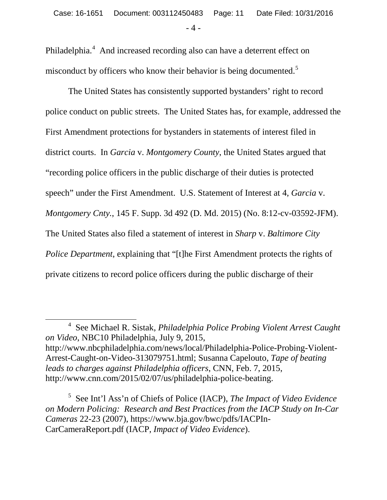Philadelphia.<sup>4</sup> And increased recording also can have a deterrent effect on misconduct by officers who know their behavior is being documented.<sup>5</sup>

The United States has consistently supported bystanders' right to record police conduct on public streets. The United States has, for example, addressed the First Amendment protections for bystanders in statements of interest filed in district courts. In *Garcia* v. *Montgomery County*, the United States argued that "recording police officers in the public discharge of their duties is protected speech" under the First Amendment. U.S. Statement of Interest at 4, *Garcia* v. *Montgomery Cnty.*, 145 F. Supp. 3d 492 (D. Md. 2015) (No. 8:12-cv-03592-JFM). The United States also filed a statement of interest in *Sharp* v. *Baltimore City Police Department*, explaining that "[t]he First Amendment protects the rights of private citizens to record police officers during the public discharge of their

 $\overline{a}$ 

<sup>4</sup> See Michael R. Sistak, *Philadelphia Police Probing Violent Arrest Caught on Video*, NBC10 Philadelphia, July 9, 2015, http://www.nbcphiladelphia.com/news/local/Philadelphia-Police-Probing-Violent-Arrest-Caught-on-Video-313079751.html; Susanna Capelouto, *Tape of beating leads to charges against Philadelphia officers*, CNN, Feb. 7, 2015, http://www.cnn.com/2015/02/07/us/philadelphia-police-beating.

<sup>5</sup> See Int'l Ass'n of Chiefs of Police (IACP), *The Impact of Video Evidence on Modern Policing: Research and Best Practices from the IACP Study on In-Car Cameras* 22-23 (2007), https://www.bja.gov/bwc/pdfs/IACPIn-CarCameraReport.pdf (IACP, *Impact of Video Evidence*).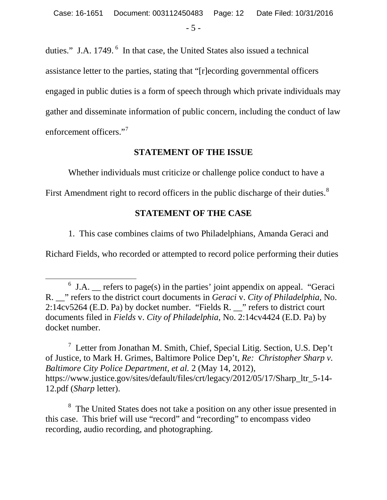duties." J.A. 1749. <sup>6</sup> In that case, the United States also issued a technical assistance letter to the parties, stating that "[r]ecording governmental officers engaged in public duties is a form of speech through which private individuals may gather and disseminate information of public concern, including the conduct of law enforcement officers."<sup>7</sup>

# **STATEMENT OF THE ISSUE**

Whether individuals must criticize or challenge police conduct to have a

First Amendment right to record officers in the public discharge of their duties. $^8$ 

# **STATEMENT OF THE CASE**

1. This case combines claims of two Philadelphians, Amanda Geraci and

Richard Fields, who recorded or attempted to record police performing their duties

 $\overline{a}$ 

 $7$  Letter from Jonathan M. Smith, Chief, Special Litig. Section, U.S. Dep't of Justice, to Mark H. Grimes, Baltimore Police Dep't, *Re: Christopher Sharp v. Baltimore City Police Department, et al.* 2 (May 14, 2012), https://www.justice.gov/sites/default/files/crt/legacy/2012/05/17/Sharp\_ltr\_5-14-12.pdf (*Sharp* letter).

<sup>8</sup> The United States does not take a position on any other issue presented in this case. This brief will use "record" and "recording" to encompass video recording, audio recording, and photographing.

<sup>6</sup> J.A. \_\_ refers to page(s) in the parties' joint appendix on appeal. "Geraci R. \_\_" refers to the district court documents in *Geraci* v. *City of Philadelphia*, No. 2:14cv5264 (E.D. Pa) by docket number. "Fields R. \_\_" refers to district court documents filed in *Fields* v. *City of Philadelphia*, No. 2:14cv4424 (E.D. Pa) by docket number.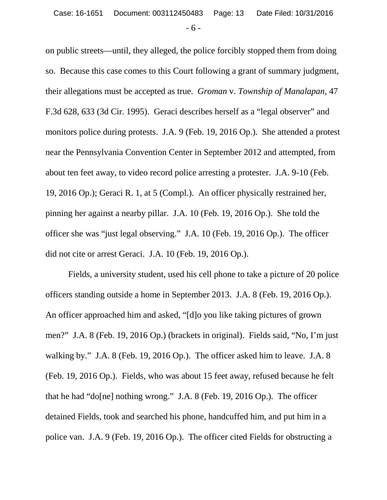on public streets—until, they alleged, the police forcibly stopped them from doing so. Because this case comes to this Court following a grant of summary judgment, their allegations must be accepted as true. *Groman* v. *Township of Manalapan*, 47 F.3d 628, 633 (3d Cir. 1995). Geraci describes herself as a "legal observer" and monitors police during protests. J.A. 9 (Feb. 19, 2016 Op.). She attended a protest near the Pennsylvania Convention Center in September 2012 and attempted, from about ten feet away, to video record police arresting a protester. J.A. 9-10 (Feb. 19, 2016 Op.); Geraci R. 1, at 5 (Compl.). An officer physically restrained her, pinning her against a nearby pillar. J.A. 10 (Feb. 19, 2016 Op.). She told the officer she was "just legal observing." J.A. 10 (Feb. 19, 2016 Op.). The officer did not cite or arrest Geraci. J.A. 10 (Feb. 19, 2016 Op.).

Fields, a university student, used his cell phone to take a picture of 20 police officers standing outside a home in September 2013. J.A. 8 (Feb. 19, 2016 Op.). An officer approached him and asked, "[d]o you like taking pictures of grown men?" J.A. 8 (Feb. 19, 2016 Op.) (brackets in original). Fields said, "No, I'm just walking by." J.A. 8 (Feb. 19, 2016 Op.). The officer asked him to leave. J.A. 8 (Feb. 19, 2016 Op.). Fields, who was about 15 feet away, refused because he felt that he had "do[ne] nothing wrong." J.A. 8 (Feb. 19, 2016 Op.). The officer detained Fields, took and searched his phone, handcuffed him, and put him in a police van. J.A. 9 (Feb. 19, 2016 Op.). The officer cited Fields for obstructing a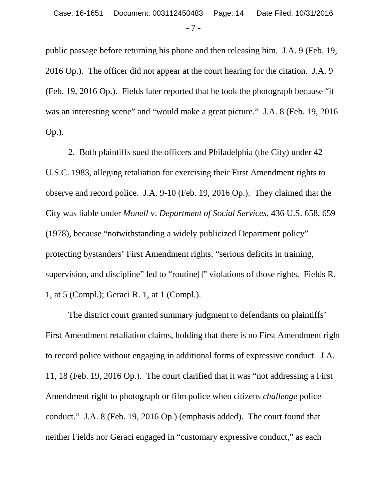public passage before returning his phone and then releasing him. J.A. 9 (Feb. 19, 2016 Op.). The officer did not appear at the court hearing for the citation. J.A. 9 (Feb. 19, 2016 Op.). Fields later reported that he took the photograph because "it was an interesting scene" and "would make a great picture." J.A. 8 (Feb. 19, 2016) Op.).

2. Both plaintiffs sued the officers and Philadelphia (the City) under 42 U.S.C. 1983, alleging retaliation for exercising their First Amendment rights to observe and record police. J.A. 9-10 (Feb. 19, 2016 Op.). They claimed that the City was liable under *Monell* v. *Department of Social Services*, 436 U.S. 658, 659 (1978), because "notwithstanding a widely publicized Department policy" protecting bystanders' First Amendment rights, "serious deficits in training, supervision, and discipline" led to "routine[]" violations of those rights. Fields R. 1, at 5 (Compl.); Geraci R. 1, at 1 (Compl.).

The district court granted summary judgment to defendants on plaintiffs' First Amendment retaliation claims, holding that there is no First Amendment right to record police without engaging in additional forms of expressive conduct. J.A. 11, 18 (Feb. 19, 2016 Op.). The court clarified that it was "not addressing a First Amendment right to photograph or film police when citizens *challenge* police conduct." J.A. 8 (Feb. 19, 2016 Op.) (emphasis added). The court found that neither Fields nor Geraci engaged in "customary expressive conduct," as each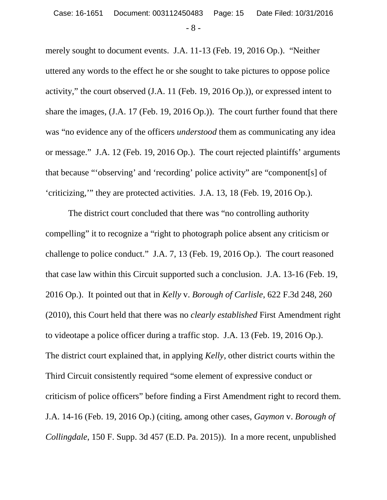merely sought to document events. J.A. 11-13 (Feb. 19, 2016 Op.). "Neither uttered any words to the effect he or she sought to take pictures to oppose police activity," the court observed (J.A. 11 (Feb. 19, 2016 Op.)), or expressed intent to share the images, (J.A. 17 (Feb. 19, 2016 Op.)). The court further found that there was "no evidence any of the officers *understood* them as communicating any idea or message." J.A. 12 (Feb. 19, 2016 Op.). The court rejected plaintiffs' arguments that because "'observing' and 'recording' police activity" are "component[s] of 'criticizing,'" they are protected activities. J.A. 13, 18 (Feb. 19, 2016 Op.).

The district court concluded that there was "no controlling authority compelling" it to recognize a "right to photograph police absent any criticism or challenge to police conduct." J.A. 7, 13 (Feb. 19, 2016 Op.). The court reasoned that case law within this Circuit supported such a conclusion. J.A. 13-16 (Feb. 19, 2016 Op.). It pointed out that in *Kelly* v. *Borough of Carlisle*, 622 F.3d 248, 260 (2010), this Court held that there was no *clearly established* First Amendment right to videotape a police officer during a traffic stop. J.A. 13 (Feb. 19, 2016 Op.). The district court explained that, in applying *Kelly*, other district courts within the Third Circuit consistently required "some element of expressive conduct or criticism of police officers" before finding a First Amendment right to record them. J.A. 14-16 (Feb. 19, 2016 Op.) (citing, among other cases, *Gaymon* v. *Borough of Collingdale*, 150 F. Supp. 3d 457 (E.D. Pa. 2015)). In a more recent, unpublished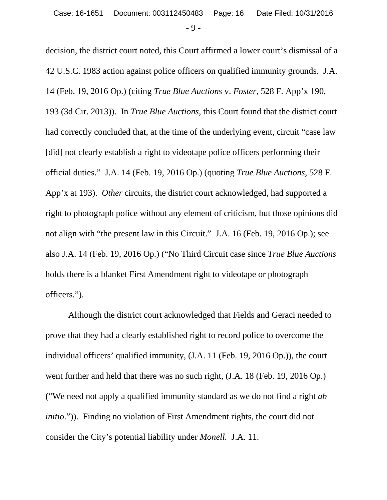decision, the district court noted, this Court affirmed a lower court's dismissal of a 42 U.S.C. 1983 action against police officers on qualified immunity grounds. J.A. 14 (Feb. 19, 2016 Op.) (citing *True Blue Auctions* v. *Foster*, 528 F. App'x 190, 193 (3d Cir. 2013)). In *True Blue Auctions*, this Court found that the district court had correctly concluded that, at the time of the underlying event, circuit "case law [did] not clearly establish a right to videotape police officers performing their official duties." J.A. 14 (Feb. 19, 2016 Op.) (quoting *True Blue Auctions*, 528 F. App'x at 193). *Other* circuits, the district court acknowledged, had supported a right to photograph police without any element of criticism, but those opinions did not align with "the present law in this Circuit." J.A. 16 (Feb. 19, 2016 Op.); see also J.A. 14 (Feb. 19, 2016 Op.) ("No Third Circuit case since *True Blue Auctions* holds there is a blanket First Amendment right to videotape or photograph officers.").

Although the district court acknowledged that Fields and Geraci needed to prove that they had a clearly established right to record police to overcome the individual officers' qualified immunity, (J.A. 11 (Feb. 19, 2016 Op.)), the court went further and held that there was no such right, (J.A. 18 (Feb. 19, 2016 Op.) ("We need not apply a qualified immunity standard as we do not find a right *ab initio.*")). Finding no violation of First Amendment rights, the court did not consider the City's potential liability under *Monell.* J.A. 11.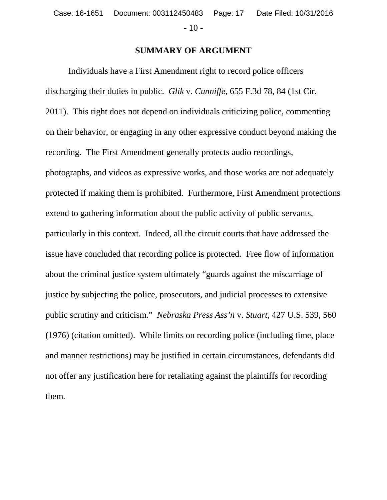- 10 -

# **SUMMARY OF ARGUMENT**

Individuals have a First Amendment right to record police officers discharging their duties in public. *Glik* v. *Cunniffe*, 655 F.3d 78, 84 (1st Cir. 2011). This right does not depend on individuals criticizing police, commenting on their behavior, or engaging in any other expressive conduct beyond making the recording. The First Amendment generally protects audio recordings, photographs, and videos as expressive works, and those works are not adequately protected if making them is prohibited. Furthermore, First Amendment protections extend to gathering information about the public activity of public servants, particularly in this context. Indeed, all the circuit courts that have addressed the issue have concluded that recording police is protected. Free flow of information about the criminal justice system ultimately "guards against the miscarriage of justice by subjecting the police, prosecutors, and judicial processes to extensive public scrutiny and criticism." *Nebraska Press Ass'n* v. *Stuart*, 427 U.S. 539, 560 (1976) (citation omitted). While limits on recording police (including time, place and manner restrictions) may be justified in certain circumstances, defendants did not offer any justification here for retaliating against the plaintiffs for recording them.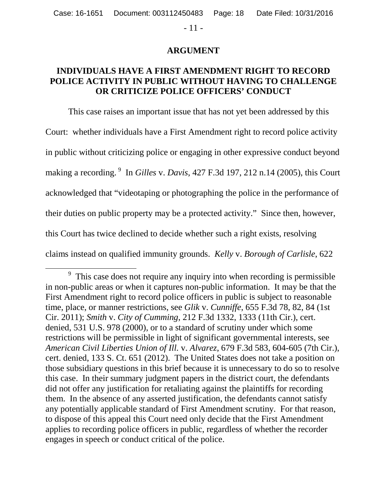- 11 -

### **ARGUMENT**

# **INDIVIDUALS HAVE A FIRST AMENDMENT RIGHT TO RECORD POLICE ACTIVITY IN PUBLIC WITHOUT HAVING TO CHALLENGE OR CRITICIZE POLICE OFFICERS' CONDUCT**

This case raises an important issue that has not yet been addressed by this Court: whether individuals have a First Amendment right to record police activity in public without criticizing police or engaging in other expressive conduct beyond making a recording. <sup>9</sup> In *Gilles* v. *Davis*, 427 F.3d 197, 212 n.14 (2005), this Court acknowledged that "videotaping or photographing the police in the performance of their duties on public property may be a protected activity." Since then, however, this Court has twice declined to decide whether such a right exists, resolving claims instead on qualified immunity grounds. *Kelly* v. *Borough of Carlisle*, 622

 $\overline{a}$ 

<sup>&</sup>lt;sup>9</sup> This case does not require any inquiry into when recording is permissible in non-public areas or when it captures non-public information. It may be that the First Amendment right to record police officers in public is subject to reasonable time, place, or manner restrictions, see *Glik* v. *Cunniffe*, 655 F.3d 78, 82, 84 (1st Cir. 2011); *Smith* v. *City of Cumming*, 212 F.3d 1332, 1333 (11th Cir.), cert. denied, 531 U.S. 978 (2000), or to a standard of scrutiny under which some restrictions will be permissible in light of significant governmental interests, see *American Civil Liberties Union of Ill.* v. *Alvarez*, 679 F.3d 583, 604-605 (7th Cir.), cert. denied, 133 S. Ct. 651 (2012). The United States does not take a position on those subsidiary questions in this brief because it is unnecessary to do so to resolve this case. In their summary judgment papers in the district court, the defendants did not offer any justification for retaliating against the plaintiffs for recording them. In the absence of any asserted justification, the defendants cannot satisfy any potentially applicable standard of First Amendment scrutiny. For that reason, to dispose of this appeal this Court need only decide that the First Amendment applies to recording police officers in public, regardless of whether the recorder engages in speech or conduct critical of the police.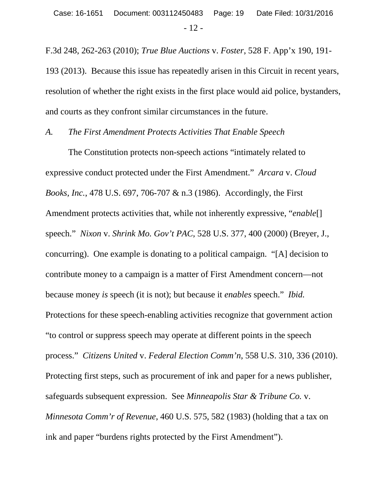F.3d 248, 262-263 (2010); *True Blue Auctions* v. *Foster*, 528 F. App'x 190, 191- 193 (2013).Because this issue has repeatedly arisen in this Circuit in recent years, resolution of whether the right exists in the first place would aid police, bystanders, and courts as they confront similar circumstances in the future.

#### *A. The First Amendment Protects Activities That Enable Speech*

The Constitution protects non-speech actions "intimately related to expressive conduct protected under the First Amendment." *Arcara* v. *Cloud Books, Inc.*, 478 U.S. 697, 706-707 & n.3 (1986). Accordingly, the First Amendment protects activities that, while not inherently expressive, "*enable*[] speech." *Nixon* v. *Shrink Mo. Gov't PAC*, 528 U.S. 377, 400 (2000) (Breyer, J., concurring). One example is donating to a political campaign. "[A] decision to contribute money to a campaign is a matter of First Amendment concern—not because money *is* speech (it is not); but because it *enables* speech." *Ibid.* Protections for these speech-enabling activities recognize that government action "to control or suppress speech may operate at different points in the speech process." *Citizens United* v. *Federal Election Comm'n*, 558 U.S. 310, 336 (2010). Protecting first steps, such as procurement of ink and paper for a news publisher, safeguards subsequent expression. See *Minneapolis Star & Tribune Co.* v. *Minnesota Comm'r of Revenue*, 460 U.S. 575, 582 (1983) (holding that a tax on ink and paper "burdens rights protected by the First Amendment").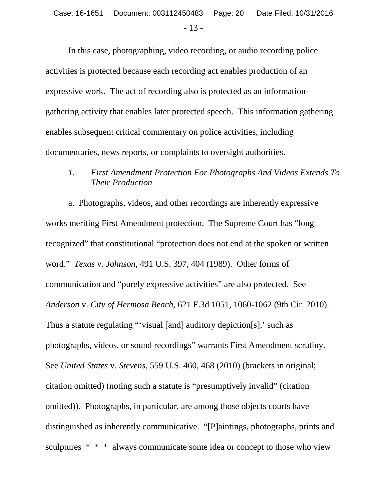In this case, photographing, video recording, or audio recording police activities is protected because each recording act enables production of an expressive work. The act of recording also is protected as an informationgathering activity that enables later protected speech. This information gathering enables subsequent critical commentary on police activities, including documentaries, news reports, or complaints to oversight authorities.

# *1. First Amendment Protection For Photographs And Videos Extends To Their Production*

a. Photographs, videos, and other recordings are inherently expressive works meriting First Amendment protection. The Supreme Court has "long recognized" that constitutional "protection does not end at the spoken or written word." *Texas* v. *Johnson*, 491 U.S. 397, 404 (1989). Other forms of communication and "purely expressive activities" are also protected. See *Anderson* v. *City of Hermosa Beach*, 621 F.3d 1051, 1060-1062 (9th Cir. 2010). Thus a statute regulating "'visual [and] auditory depiction[s],' such as photographs, videos, or sound recordings" warrants First Amendment scrutiny. See *United States* v. *Stevens*, 559 U.S. 460, 468 (2010) (brackets in original; citation omitted) (noting such a statute is "presumptively invalid" (citation omitted)). Photographs, in particular, are among those objects courts have distinguished as inherently communicative. "[P]aintings, photographs, prints and sculptures \* \* \* always communicate some idea or concept to those who view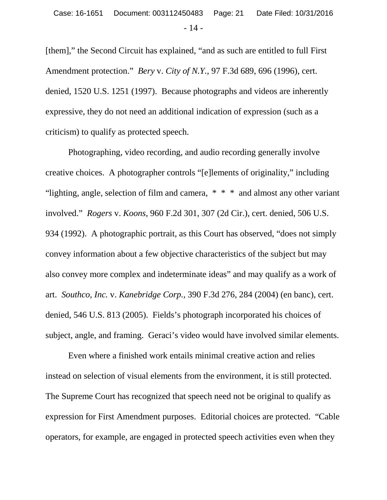[them]," the Second Circuit has explained, "and as such are entitled to full First Amendment protection." *Bery* v. *City of N.Y.*, 97 F.3d 689, 696 (1996), cert. denied, 1520 U.S. 1251 (1997). Because photographs and videos are inherently expressive, they do not need an additional indication of expression (such as a criticism) to qualify as protected speech.

Photographing, video recording, and audio recording generally involve creative choices. A photographer controls "[e]lements of originality," including "lighting, angle, selection of film and camera, \* \* \* and almost any other variant involved." *Rogers* v. *Koons*, 960 F.2d 301, 307 (2d Cir.), cert. denied, 506 U.S. 934 (1992). A photographic portrait, as this Court has observed, "does not simply convey information about a few objective characteristics of the subject but may also convey more complex and indeterminate ideas" and may qualify as a work of art. *Southco, Inc.* v. *Kanebridge Corp.,* 390 F.3d 276, 284 (2004) (en banc), cert. denied, 546 U.S. 813 (2005). Fields's photograph incorporated his choices of subject, angle, and framing. Geraci's video would have involved similar elements.

Even where a finished work entails minimal creative action and relies instead on selection of visual elements from the environment, it is still protected. The Supreme Court has recognized that speech need not be original to qualify as expression for First Amendment purposes. Editorial choices are protected. "Cable operators, for example, are engaged in protected speech activities even when they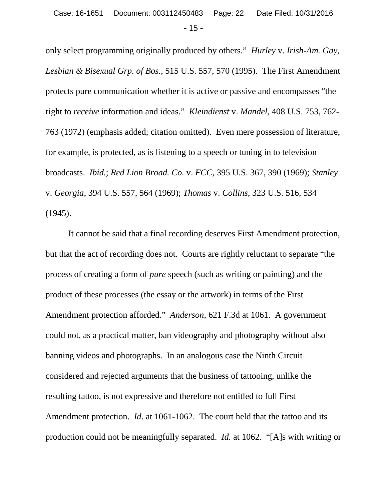only select programming originally produced by others." *Hurley* v. *Irish-Am. Gay, Lesbian & Bisexual Grp. of Bos.*, 515 U.S. 557, 570 (1995). The First Amendment protects pure communication whether it is active or passive and encompasses "the right to *receive* information and ideas." *Kleindienst* v. *Mandel*, 408 U.S. 753, 762- 763 (1972) (emphasis added; citation omitted). Even mere possession of literature, for example, is protected, as is listening to a speech or tuning in to television broadcasts. *Ibid.*; *Red Lion Broad. Co.* v. *FCC*, 395 U.S. 367, 390 (1969); *Stanley* v. *Georgia*, 394 U.S. 557, 564 (1969); *Thomas* v. *Collins*, 323 U.S. 516, 534 (1945).

It cannot be said that a final recording deserves First Amendment protection, but that the act of recording does not. Courts are rightly reluctant to separate "the process of creating a form of *pure* speech (such as writing or painting) and the product of these processes (the essay or the artwork) in terms of the First Amendment protection afforded." *Anderson*, 621 F.3d at 1061. A government could not, as a practical matter, ban videography and photography without also banning videos and photographs. In an analogous case the Ninth Circuit considered and rejected arguments that the business of tattooing, unlike the resulting tattoo, is not expressive and therefore not entitled to full First Amendment protection. *Id*. at 1061-1062. The court held that the tattoo and its production could not be meaningfully separated. *Id.* at 1062. "[A]s with writing or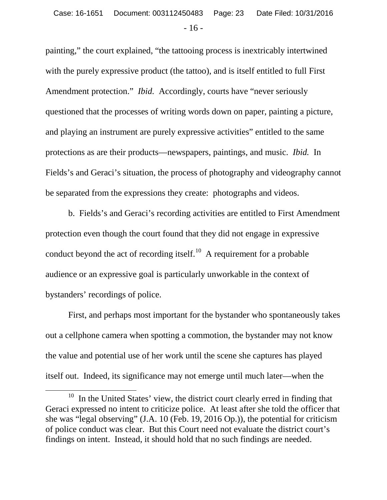painting," the court explained, "the tattooing process is inextricably intertwined with the purely expressive product (the tattoo), and is itself entitled to full First Amendment protection." *Ibid.* Accordingly, courts have "never seriously questioned that the processes of writing words down on paper, painting a picture, and playing an instrument are purely expressive activities" entitled to the same protections as are their products—newspapers, paintings, and music. *Ibid.* In Fields's and Geraci's situation, the process of photography and videography cannot be separated from the expressions they create: photographs and videos.

b. Fields's and Geraci's recording activities are entitled to First Amendment protection even though the court found that they did not engage in expressive conduct beyond the act of recording itself.<sup>10</sup> A requirement for a probable audience or an expressive goal is particularly unworkable in the context of bystanders' recordings of police.

First, and perhaps most important for the bystander who spontaneously takes out a cellphone camera when spotting a commotion, the bystander may not know the value and potential use of her work until the scene she captures has played itself out. Indeed, its significance may not emerge until much later—when the

 $\overline{a}$ 

<sup>&</sup>lt;sup>10</sup> In the United States' view, the district court clearly erred in finding that Geraci expressed no intent to criticize police. At least after she told the officer that she was "legal observing" (J.A. 10 (Feb. 19, 2016 Op.)), the potential for criticism of police conduct was clear. But this Court need not evaluate the district court's findings on intent. Instead, it should hold that no such findings are needed.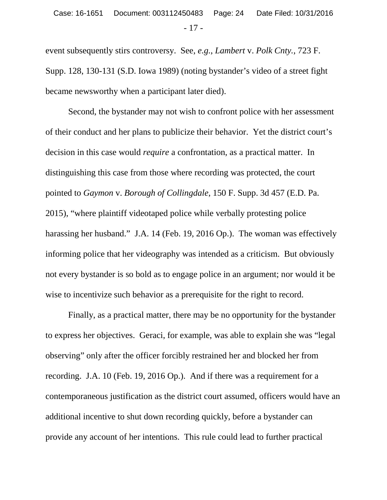event subsequently stirs controversy. See, *e.g.*, *Lambert* v. *Polk Cnty.*, 723 F. Supp. 128, 130-131 (S.D. Iowa 1989) (noting bystander's video of a street fight became newsworthy when a participant later died).

Second, the bystander may not wish to confront police with her assessment of their conduct and her plans to publicize their behavior. Yet the district court's decision in this case would *require* a confrontation, as a practical matter. In distinguishing this case from those where recording was protected, the court pointed to *Gaymon* v. *Borough of Collingdale*, 150 F. Supp. 3d 457 (E.D. Pa. 2015), "where plaintiff videotaped police while verbally protesting police harassing her husband." J.A. 14 (Feb. 19, 2016 Op.). The woman was effectively informing police that her videography was intended as a criticism. But obviously not every bystander is so bold as to engage police in an argument; nor would it be wise to incentivize such behavior as a prerequisite for the right to record.

Finally, as a practical matter, there may be no opportunity for the bystander to express her objectives. Geraci, for example, was able to explain she was "legal observing" only after the officer forcibly restrained her and blocked her from recording. J.A. 10 (Feb. 19, 2016 Op.). And if there was a requirement for a contemporaneous justification as the district court assumed, officers would have an additional incentive to shut down recording quickly, before a bystander can provide any account of her intentions. This rule could lead to further practical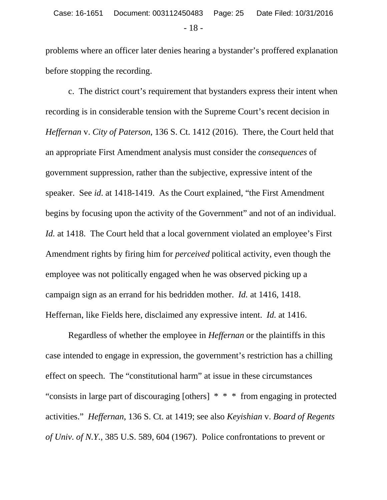problems where an officer later denies hearing a bystander's proffered explanation before stopping the recording.

c. The district court's requirement that bystanders express their intent when recording is in considerable tension with the Supreme Court's recent decision in *Heffernan* v. *City of Paterson*, 136 S. Ct. 1412 (2016). There, the Court held that an appropriate First Amendment analysis must consider the *consequences* of government suppression, rather than the subjective, expressive intent of the speaker. See *id*. at 1418-1419. As the Court explained, "the First Amendment begins by focusing upon the activity of the Government" and not of an individual. *Id.* at 1418. The Court held that a local government violated an employee's First Amendment rights by firing him for *perceived* political activity, even though the employee was not politically engaged when he was observed picking up a campaign sign as an errand for his bedridden mother. *Id.* at 1416, 1418. Heffernan, like Fields here, disclaimed any expressive intent. *Id.* at 1416.

Regardless of whether the employee in *Heffernan* or the plaintiffs in this case intended to engage in expression, the government's restriction has a chilling effect on speech. The "constitutional harm" at issue in these circumstances "consists in large part of discouraging [others] \* \* \* from engaging in protected activities." *Heffernan*, 136 S. Ct. at 1419; see also *Keyishian* v. *Board of Regents of Univ. of N.Y.*, 385 U.S. 589, 604 (1967). Police confrontations to prevent or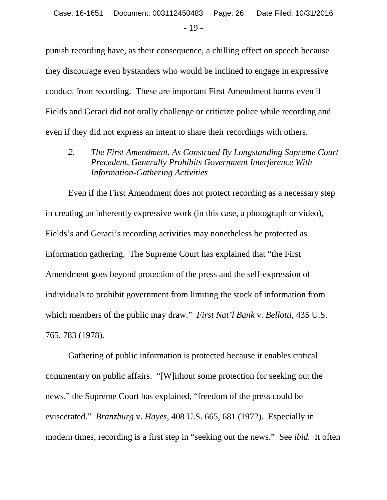punish recording have, as their consequence, a chilling effect on speech because they discourage even bystanders who would be inclined to engage in expressive conduct from recording. These are important First Amendment harms even if Fields and Geraci did not orally challenge or criticize police while recording and even if they did not express an intent to share their recordings with others.

*2. The First Amendment, As Construed By Longstanding Supreme Court Precedent, Generally Prohibits Government Interference With Information-Gathering Activities*

Even if the First Amendment does not protect recording as a necessary step in creating an inherently expressive work (in this case, a photograph or video), Fields's and Geraci's recording activities may nonetheless be protected as information gathering. The Supreme Court has explained that "the First Amendment goes beyond protection of the press and the self-expression of individuals to prohibit government from limiting the stock of information from which members of the public may draw." *First Nat'l Bank* v. *Bellotti*, 435 U.S. 765, 783 (1978).

Gathering of public information is protected because it enables critical commentary on public affairs. "[W]ithout some protection for seeking out the news," the Supreme Court has explained, "freedom of the press could be eviscerated." *Branzburg* v. *Hayes*, 408 U.S. 665, 681 (1972). Especially in modern times, recording is a first step in "seeking out the news." See *ibid.* It often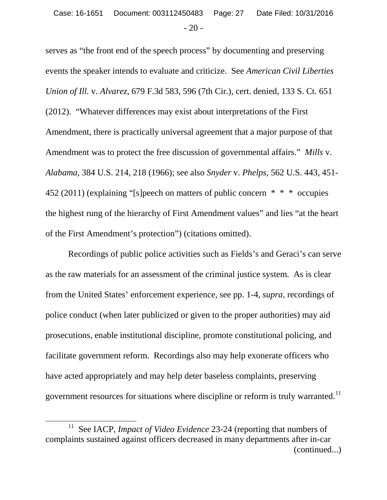serves as "the front end of the speech process" by documenting and preserving events the speaker intends to evaluate and criticize. See *American Civil Liberties Union of Ill.* v. *Alvarez*, 679 F.3d 583, 596 (7th Cir.), cert. denied, 133 S. Ct. 651 (2012). "Whatever differences may exist about interpretations of the First Amendment, there is practically universal agreement that a major purpose of that Amendment was to protect the free discussion of governmental affairs." *Mills* v. *Alabama*, 384 U.S. 214, 218 (1966); see also *Snyder* v. *Phelps*, 562 U.S. 443, 451- 452 (2011) (explaining "[s]peech on matters of public concern  $* * *$  occupies the highest rung of the hierarchy of First Amendment values" and lies "at the heart of the First Amendment's protection") (citations omitted).

Recordings of public police activities such as Fields's and Geraci's can serve as the raw materials for an assessment of the criminal justice system. As is clear from the United States' enforcement experience, see pp. 1-4, *supra*, recordings of police conduct (when later publicized or given to the proper authorities) may aid prosecutions, enable institutional discipline, promote constitutional policing, and facilitate government reform. Recordings also may help exonerate officers who have acted appropriately and may help deter baseless complaints, preserving government resources for situations where discipline or reform is truly warranted.<sup>11</sup>

 $\overline{a}$ 

<sup>11</sup> See IACP, *Impact of Video Evidence* 23-24 (reporting that numbers of complaints sustained against officers decreased in many departments after in-car (continued...)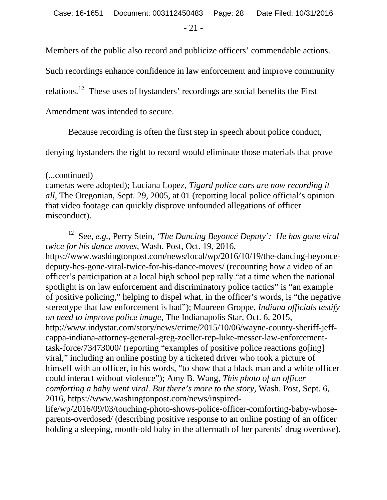Members of the public also record and publicize officers' commendable actions.

Such recordings enhance confidence in law enforcement and improve community

relations.12 These uses of bystanders' recordings are social benefits the First

Amendment was intended to secure.

Because recording is often the first step in speech about police conduct,

denying bystanders the right to record would eliminate those materials that prove

(...continued)

 $\overline{a}$ 

cameras were adopted); Luciana Lopez, *Tigard police cars are now recording it all*, The Oregonian, Sept. 29, 2005, at 01 (reporting local police official's opinion that video footage can quickly disprove unfounded allegations of officer misconduct).

12 See, *e.g.*, Perry Stein, *'The Dancing Beyoncé Deputy': He has gone viral twice for his dance moves*, Wash. Post, Oct. 19, 2016, https://www.washingtonpost.com/news/local/wp/2016/10/19/the-dancing-beyoncedeputy-hes-gone-viral-twice-for-his-dance-moves/ (recounting how a video of an officer's participation at a local high school pep rally "at a time when the national spotlight is on law enforcement and discriminatory police tactics" is "an example of positive policing," helping to dispel what, in the officer's words, is "the negative stereotype that law enforcement is bad"); Maureen Groppe, *Indiana officials testify on need to improve police image*, The Indianapolis Star, Oct. 6, 2015, http://www.indystar.com/story/news/crime/2015/10/06/wayne-county-sheriff-jeffcappa-indiana-attorney-general-greg-zoeller-rep-luke-messer-law-enforcementtask-force/73473000/ (reporting "examples of positive police reactions go[ing] viral," including an online posting by a ticketed driver who took a picture of himself with an officer, in his words, "to show that a black man and a white officer could interact without violence"); Amy B. Wang, *This photo of an officer comforting a baby went viral. But there's more to the story,* Wash. Post, Sept. 6, 2016, https://www.washingtonpost.com/news/inspired-

life/wp/2016/09/03/touching-photo-shows-police-officer-comforting-baby-whoseparents-overdosed/ (describing positive response to an online posting of an officer holding a sleeping, month-old baby in the aftermath of her parents' drug overdose).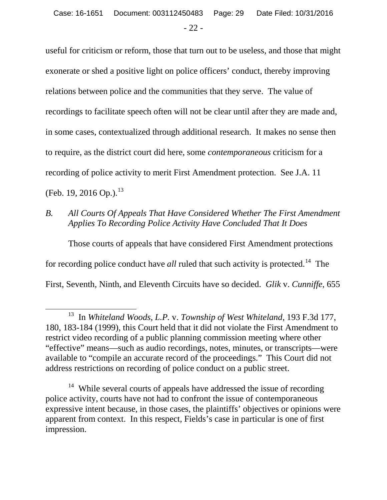useful for criticism or reform, those that turn out to be useless, and those that might exonerate or shed a positive light on police officers' conduct, thereby improving relations between police and the communities that they serve. The value of recordings to facilitate speech often will not be clear until after they are made and, in some cases, contextualized through additional research. It makes no sense then to require, as the district court did here, some *contemporaneous* criticism for a recording of police activity to merit First Amendment protection. See J.A. 11 (Feb. 19, 2016 Op.).<sup>13</sup>

*B. All Courts Of Appeals That Have Considered Whether The First Amendment Applies To Recording Police Activity Have Concluded That It Does*

Those courts of appeals that have considered First Amendment protections for recording police conduct have *all* ruled that such activity is protected.<sup>14</sup> The First, Seventh, Ninth, and Eleventh Circuits have so decided. *Glik* v. *Cunniffe*, 655

 $\overline{a}$ 

<sup>13</sup> In *Whiteland Woods, L.P.* v. *Township of West Whiteland*, 193 F.3d 177, 180, 183-184 (1999), this Court held that it did not violate the First Amendment to restrict video recording of a public planning commission meeting where other "effective" means—such as audio recordings, notes, minutes, or transcripts—were available to "compile an accurate record of the proceedings." This Court did not address restrictions on recording of police conduct on a public street.

<sup>&</sup>lt;sup>14</sup> While several courts of appeals have addressed the issue of recording police activity, courts have not had to confront the issue of contemporaneous expressive intent because, in those cases, the plaintiffs' objectives or opinions were apparent from context. In this respect, Fields's case in particular is one of first impression.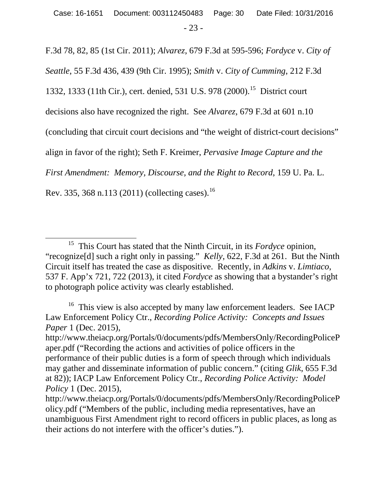F.3d 78, 82, 85 (1st Cir. 2011); *Alvarez*, 679 F.3d at 595-596; *Fordyce* v. *City of* 

*Seattle*, 55 F.3d 436, 439 (9th Cir. 1995); *Smith* v. *City of Cumming*, 212 F.3d

1332, 1333 (11th Cir.), cert. denied, 531 U.S. 978 (2000).<sup>15</sup> District court

decisions also have recognized the right. See *Alvarez*, 679 F.3d at 601 n.10

(concluding that circuit court decisions and "the weight of district-court decisions"

align in favor of the right); Seth F. Kreimer, *Pervasive Image Capture and the* 

*First Amendment: Memory, Discourse, and the Right to Record*, 159 U. Pa. L.

Rev. 335, 368 n.113 (2011) (collecting cases).<sup>16</sup>

<sup>15</sup> This Court has stated that the Ninth Circuit, in its *Fordyce* opinion, "recognize[d] such a right only in passing." *Kelly*, 622, F.3d at 261. But the Ninth Circuit itself has treated the case as dispositive. Recently, in *Adkins* v. *Limtiaco*, 537 F. App'x 721, 722 (2013), it cited *Fordyce* as showing that a bystander's right to photograph police activity was clearly established.  $\overline{a}$ 

<sup>&</sup>lt;sup>16</sup> This view is also accepted by many law enforcement leaders. See IACP Law Enforcement Policy Ctr., *Recording Police Activity: Concepts and Issues Paper* 1 (Dec. 2015),

http://www.theiacp.org/Portals/0/documents/pdfs/MembersOnly/RecordingPoliceP aper.pdf ("Recording the actions and activities of police officers in the performance of their public duties is a form of speech through which individuals may gather and disseminate information of public concern." (citing *Glik*, 655 F.3d at 82)); IACP Law Enforcement Policy Ctr., *Recording Police Activity: Model Policy* 1 (Dec. 2015),

http://www.theiacp.org/Portals/0/documents/pdfs/MembersOnly/RecordingPoliceP olicy.pdf ("Members of the public, including media representatives, have an unambiguous First Amendment right to record officers in public places, as long as their actions do not interfere with the officer's duties.").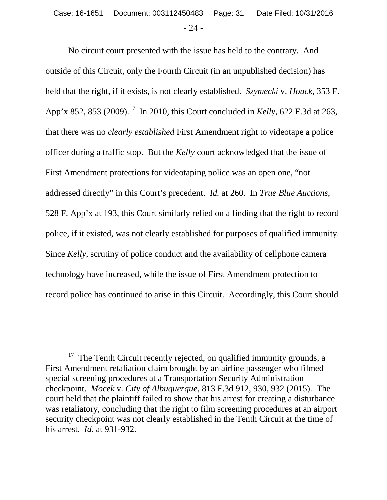No circuit court presented with the issue has held to the contrary. And outside of this Circuit, only the Fourth Circuit (in an unpublished decision) has held that the right, if it exists, is not clearly established. *Szymecki* v. *Houck*, 353 F. App'x 852, 853 (2009).17 In 2010, this Court concluded in *Kelly*, 622 F.3d at 263, that there was no *clearly established* First Amendment right to videotape a police officer during a traffic stop. But the *Kelly* court acknowledged that the issue of First Amendment protections for videotaping police was an open one, "not addressed directly" in this Court's precedent. *Id.* at 260. In *True Blue Auctions*, 528 F. App'x at 193, this Court similarly relied on a finding that the right to record police, if it existed, was not clearly established for purposes of qualified immunity. Since *Kelly*, scrutiny of police conduct and the availability of cellphone camera technology have increased, while the issue of First Amendment protection to record police has continued to arise in this Circuit. Accordingly, this Court should

 $17$  The Tenth Circuit recently rejected, on qualified immunity grounds, a First Amendment retaliation claim brought by an airline passenger who filmed special screening procedures at a Transportation Security Administration checkpoint. *Mocek* v. *City of Albuquerque*, 813 F.3d 912, 930, 932 (2015). The court held that the plaintiff failed to show that his arrest for creating a disturbance was retaliatory, concluding that the right to film screening procedures at an airport security checkpoint was not clearly established in the Tenth Circuit at the time of his arrest. *Id.* at 931-932.  $\overline{a}$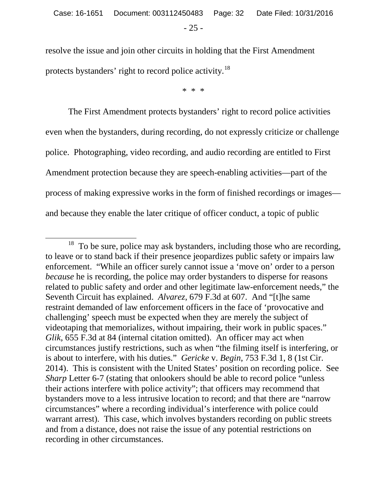resolve the issue and join other circuits in holding that the First Amendment protects bystanders' right to record police activity.<sup>18</sup>

\* \* \*

The First Amendment protects bystanders' right to record police activities even when the bystanders, during recording, do not expressly criticize or challenge police. Photographing, video recording, and audio recording are entitled to First Amendment protection because they are speech-enabling activities—part of the process of making expressive works in the form of finished recordings or images and because they enable the later critique of officer conduct, a topic of public

 $\overline{a}$ 

To be sure, police may ask bystanders, including those who are recording, to leave or to stand back if their presence jeopardizes public safety or impairs law enforcement. "While an officer surely cannot issue a 'move on' order to a person *because* he is recording, the police may order bystanders to disperse for reasons related to public safety and order and other legitimate law-enforcement needs," the Seventh Circuit has explained. *Alvarez*, 679 F.3d at 607. And "[t]he same restraint demanded of law enforcement officers in the face of 'provocative and challenging' speech must be expected when they are merely the subject of videotaping that memorializes, without impairing, their work in public spaces." *Glik*, 655 F.3d at 84 (internal citation omitted). An officer may act when circumstances justify restrictions, such as when "the filming itself is interfering, or is about to interfere, with his duties." *Gericke* v. *Begin*, 753 F.3d 1, 8 (1st Cir. 2014). This is consistent with the United States' position on recording police. See *Sharp* Letter 6-7 (stating that onlookers should be able to record police "unless" their actions interfere with police activity"; that officers may recommend that bystanders move to a less intrusive location to record; and that there are "narrow circumstances" where a recording individual's interference with police could warrant arrest). This case, which involves bystanders recording on public streets and from a distance, does not raise the issue of any potential restrictions on recording in other circumstances.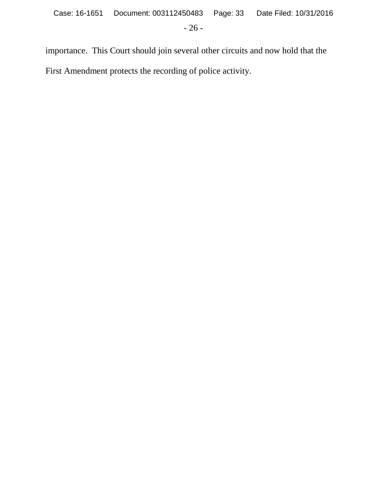importance. This Court should join several other circuits and now hold that the First Amendment protects the recording of police activity.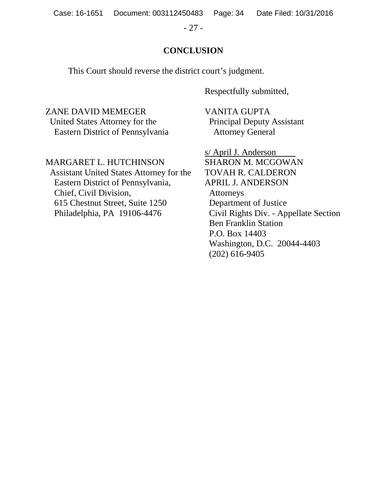Case: 16-1651 Document: 003112450483 Page: 34 Date Filed: 10/31/2016

- 27 -

# **CONCLUSION**

This Court should reverse the district court's judgment.

Respectfully submitted,

ZANE DAVID MEMEGER VANITA GUPTA United States Attorney for the Principal Deputy Assistant<br>Eastern District of Pennsylvania Attorney General Eastern District of Pennsylvania

MARGARET L. HUTCHINSON SHARON M. MCGOWAN Assistant United States Attorney for the TOVAH R. CALDERON Eastern District of Pennsylvania, APRIL J. ANDERSON Chief, Civil Division, Attorneys

615 Chestnut Street, Suite 1250 Department of Justice

s/ April J. Anderson Philadelphia, PA 19106-4476 Civil Rights Div. - Appellate Section Ben Franklin Station P.O. Box 14403 Washington, D.C. 20044-4403 (202) 616-9405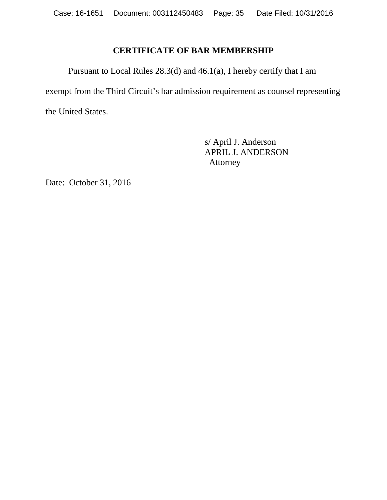# **CERTIFICATE OF BAR MEMBERSHIP**

Pursuant to Local Rules 28.3(d) and 46.1(a), I hereby certify that I am exempt from the Third Circuit's bar admission requirement as counsel representing the United States.

> s/ April J. Anderson APRIL J. ANDERSON Attorney

Date: October 31, 2016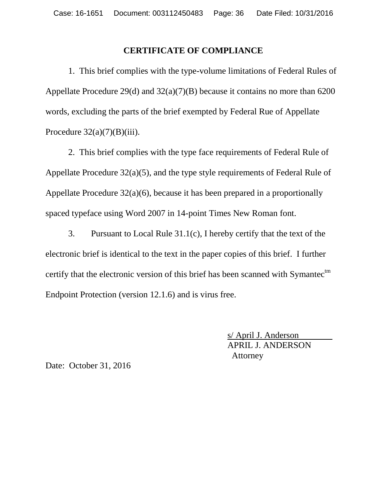# **CERTIFICATE OF COMPLIANCE**

1. This brief complies with the type-volume limitations of Federal Rules of Appellate Procedure 29(d) and 32(a)(7)(B) because it contains no more than 6200 words, excluding the parts of the brief exempted by Federal Rue of Appellate Procedure  $32(a)(7)(B)(iii)$ .

2. This brief complies with the type face requirements of Federal Rule of Appellate Procedure 32(a)(5), and the type style requirements of Federal Rule of Appellate Procedure 32(a)(6), because it has been prepared in a proportionally spaced typeface using Word 2007 in 14-point Times New Roman font.

3. Pursuant to Local Rule 31.1(c), I hereby certify that the text of the electronic brief is identical to the text in the paper copies of this brief. I further certify that the electronic version of this brief has been scanned with Symantec $<sup>tm</sup>$ </sup> Endpoint Protection (version 12.1.6) and is virus free.

> s/ April J. Anderson APRIL J. ANDERSON Attorney

Date: October 31, 2016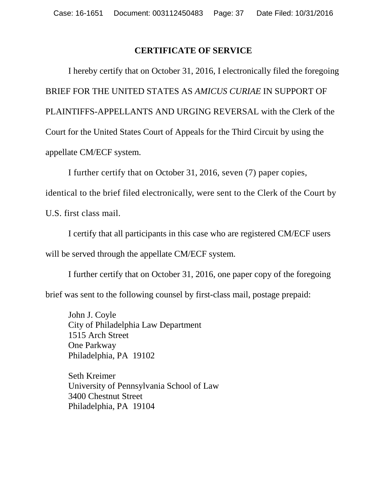## **CERTIFICATE OF SERVICE**

I hereby certify that on October 31, 2016, I electronically filed the foregoing BRIEF FOR THE UNITED STATES AS *AMICUS CURIAE* IN SUPPORT OF PLAINTIFFS-APPELLANTS AND URGING REVERSAL with the Clerk of the Court for the United States Court of Appeals for the Third Circuit by using the appellate CM/ECF system.

I further certify that on October 31, 2016, seven (7) paper copies,

identical to the brief filed electronically, were sent to the Clerk of the Court by

U.S. first class mail.

I certify that all participants in this case who are registered CM/ECF users will be served through the appellate CM/ECF system.

I further certify that on October 31, 2016, one paper copy of the foregoing brief was sent to the following counsel by first-class mail, postage prepaid:

John J. Coyle City of Philadelphia Law Department 1515 Arch Street One Parkway Philadelphia, PA 19102

Seth Kreimer University of Pennsylvania School of Law 3400 Chestnut Street Philadelphia, PA 19104